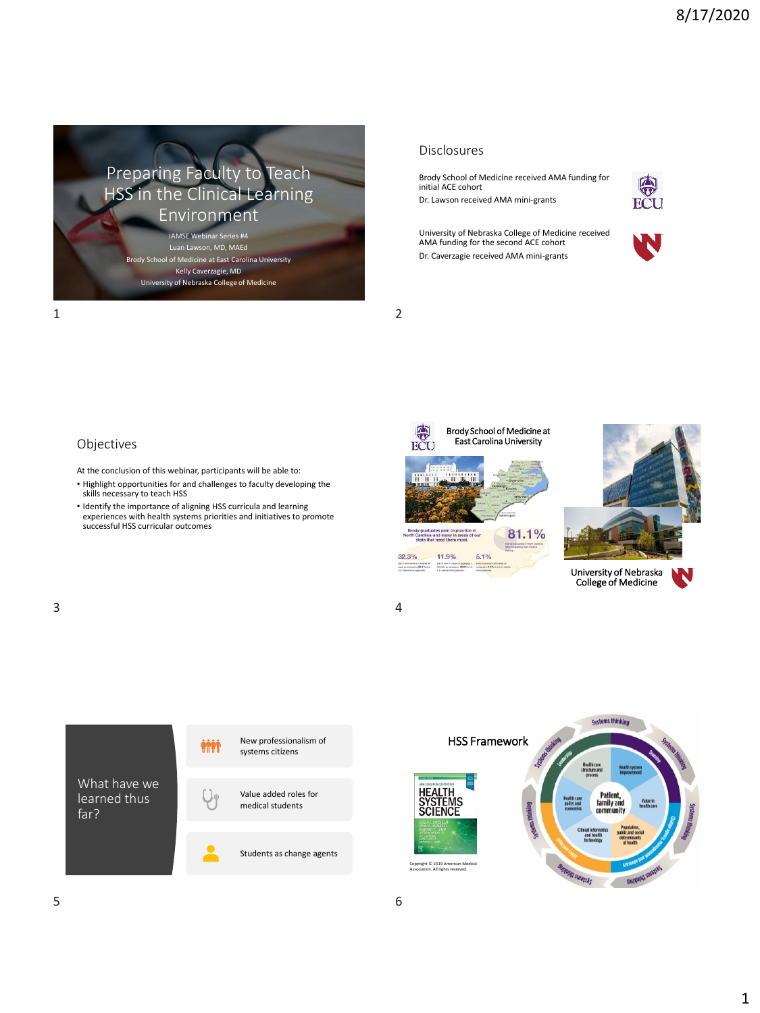

Luan Lawson, MD, MAEd Brody School of Medicine at East Carolina University Kelly Caverzagie, MD University of Nebraska College of Medicine

#### Disclosures

Brody School of Medicine received AMA funding for initial ACE cohort

Dr. Lawson received AMA mini-grants



University of Nebraska College of Medicine received AMA funding for the second ACE cohort Dr. Caverzagie received AMA mini-grants



1 2



- At the conclusion of this webinar, participants will be able to:
- Highlight opportunities for and challenges to faculty developing the skills necessary to teach HSS
- Identify the importance of aligning HSS curricula and learning experiences with health systems priorities and initiatives to promote successful HSS curricular outcomes





N University of Nebraska College of Medicine



What have we learned thus



Students as change agents



far?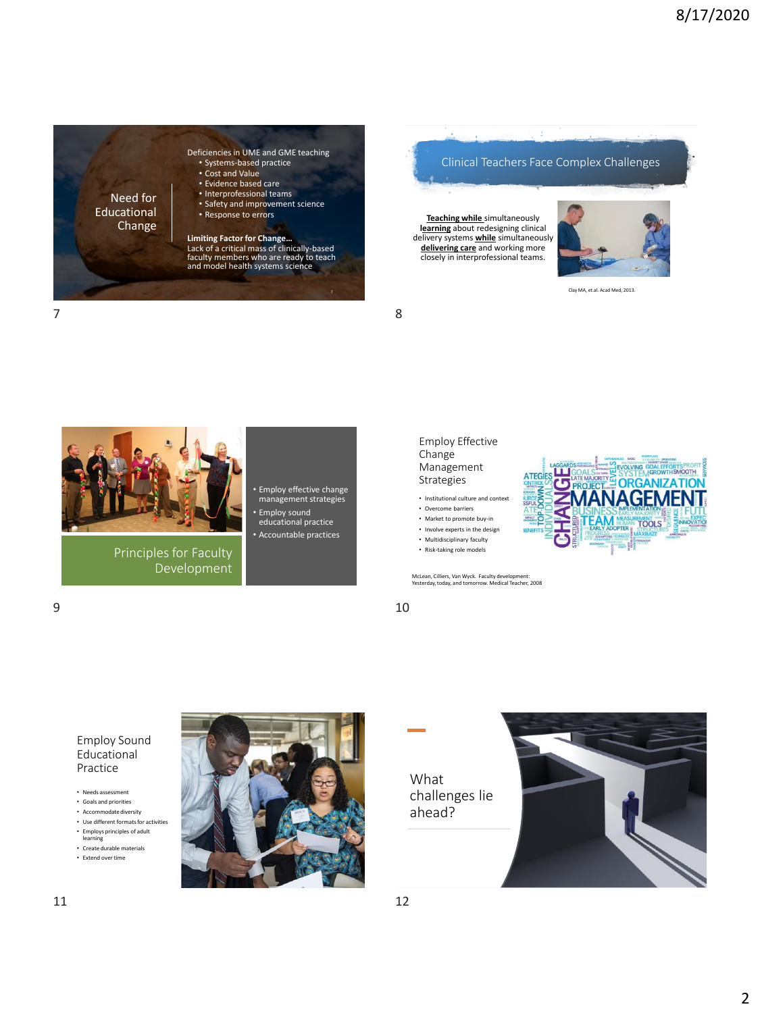

Clinical Teachers Face Complex Challenges

**Teaching while** simultaneously **learning** about redesigning clinical delivery systems **while** simultaneously **delivering care** and working more closely in interprofessional teams.



Clay MA, et.al. Acad Med, 2013.





Principles for Faculty Development • Employ effective change management strategies • Employ sound educational practice

• Accountable practices



• Institutional culture and context

• Overcome barriers

- Market to promote buy-in
- Involve experts in the design
- Multidisciplinary faculty

McLean, Cilliers, Van Wyck. Faculty development: Yesterday, today, and tomorrow. Medical Teacher, 2008

• Risk-taking role models

**MANAGEME** 

 $\overline{\mathbf{c}}$ 

ALS THE SYSTEM GOAL FOR CONTRACT

 $9 \hspace{2.5cm} 10$ 



Employ Sound Educational Practice

- Needs assessment
- Goals and priorities • Accommodate diversity
- Use different formats for activities • Employs principles of adult
- learning
- Create durable materials • Extend over time



What challenges lie ahead?

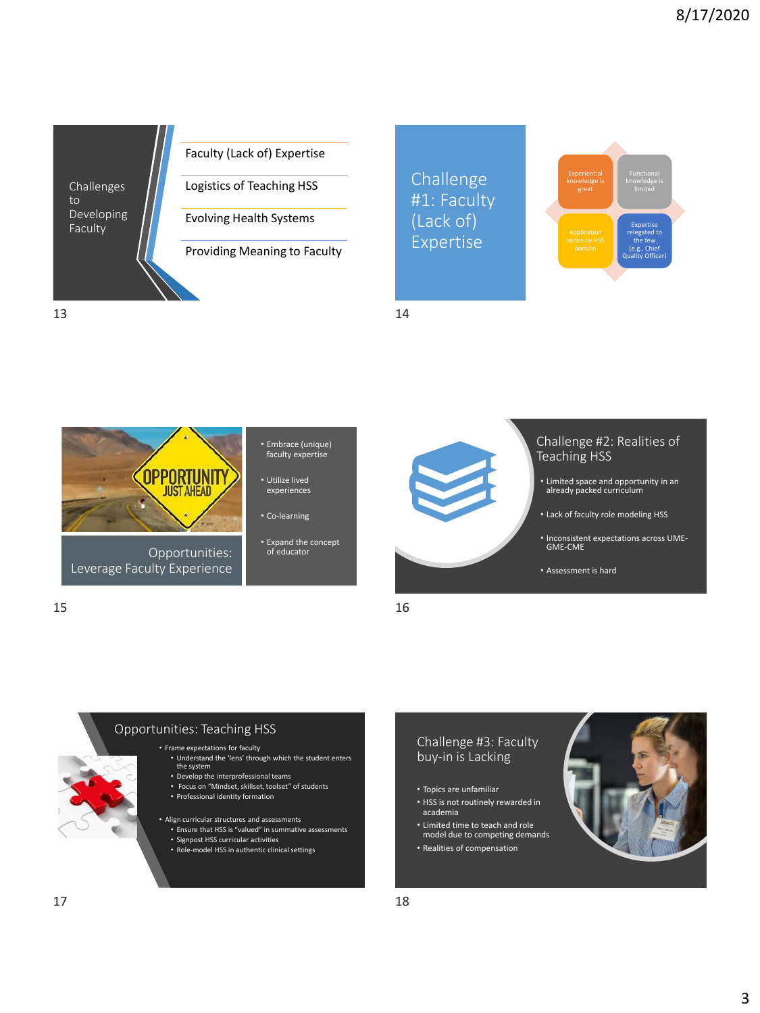

#### Faculty (Lack of) Expertise

Logistics of Teaching HSS

Evolving Health Systems

Providing Meaning to Faculty

Challenge #1: Faculty (Lack of) Expertise



13 14



- Embrace (unique) faculty expertise
- Utilize lived experiences
- Co-learning
- Expand the concept of educator



#### Challenge #2: Realities of Teaching HSS

- Limited space and opportunity in an already packed curriculum
- Lack of faculty role modeling HSS
- Inconsistent expectations across UME-GME-CME
- Assessment is hard





# Opportunities: Teaching HSS

#### • Frame expectations for faculty

- Understand the 'lens' through which the student enters
- Develop the interprofessional teams
- Focus on "Mindset, skillset, toolset" of students
- Professional identity formation
- Align curricular structures and assessments • Ensure that HSS is "valued" in summative assessments • Signpost HSS curricular activities
	- Role-model HSS in authentic clinical settings

#### Challenge #3: Faculty buy-in is Lacking

- Topics are unfamiliar
- HSS is not routinely rewarded in academia
- Limited time to teach and role model due to competing demands
- Realities of compensation

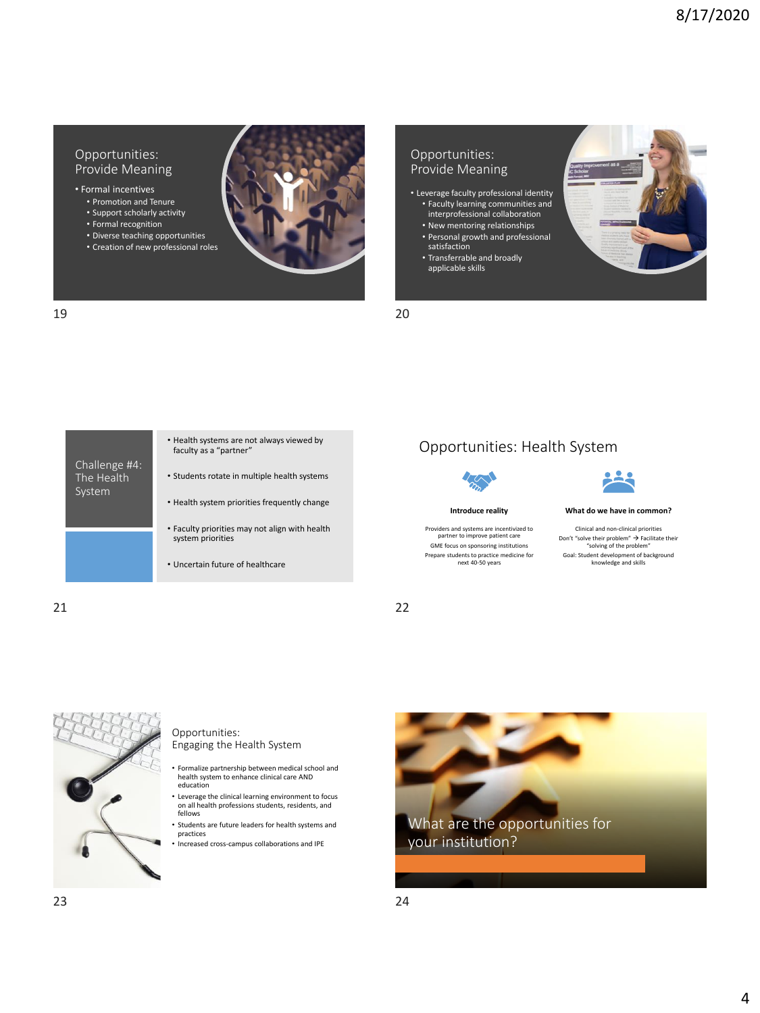#### Opportunities: Provide Meaning

• Formal incentives

- Promotion and Tenure • Support scholarly activity
- Formal recognition
- Diverse teaching opportunities
- Creation of new professional roles



# Opportunities: Provide Meaning

- Leverage faculty professional identity • Faculty learning communities and interprofessional collaboration
	- New mentoring relationships • Personal growth and professional
	- satisfaction
	- Transferrable and broadly applicable skills

|                                       | • Health systems are not always viewed by<br>faculty as a "partner" |
|---------------------------------------|---------------------------------------------------------------------|
| Challenge #4:<br>The Health<br>System | • Students rotate in multiple health systems                        |
|                                       | • Health system priorities frequently change                        |
|                                       | • Faculty priorities may not align with health<br>system priorities |
|                                       | • Uncertain future of healthcare                                    |

# Opportunities: Health System



Providers and systems are incentivized to partner to improve patient care GME focus on sponsoring institutions Prepare students to practice medicine for next 40-50 years



#### **What do we have in common?**

Clinical and non-clinical priorities Don't "solve their problem"  $\rightarrow$  Facilitate their "solving of the problem" Goal: Student development of background knowledge and skills

21 22





Opportunities: Engaging the Health System

- Formalize partnership between medical school and health system to enhance clinical care AND education
- Leverage the clinical learning environment to focus on all health professions students, residents, and fellows
- Students are future leaders for health systems and practices
- Increased cross-campus collaborations and IPE

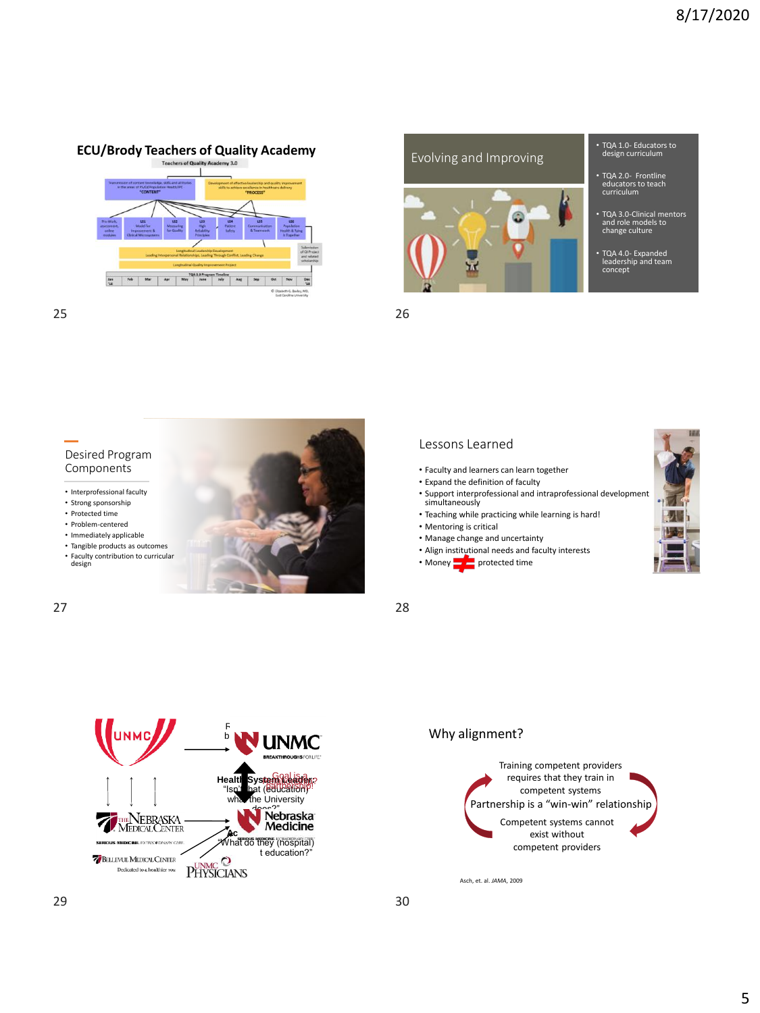# **ECU/Brody Teachers of Quality Academy** Evolving and Improving





- TQA 1.0- Educators to design curriculum
- TQA 3.0-Clinical mentors and role models to change culture
- 

25 26



# Lessons Learned

- Faculty and learners can learn together
- Expand the definition of faculty
- Support interprofessional and intraprofessional development support interpri
- Teaching while practicing while learning is hard!
- Mentoring is critical
- Manage change and uncertainty
- Align institutional needs and faculty interests
- Money  $p = p$  protected time



# Why alignment?



Asch, et. al. *JAMA*, 2009